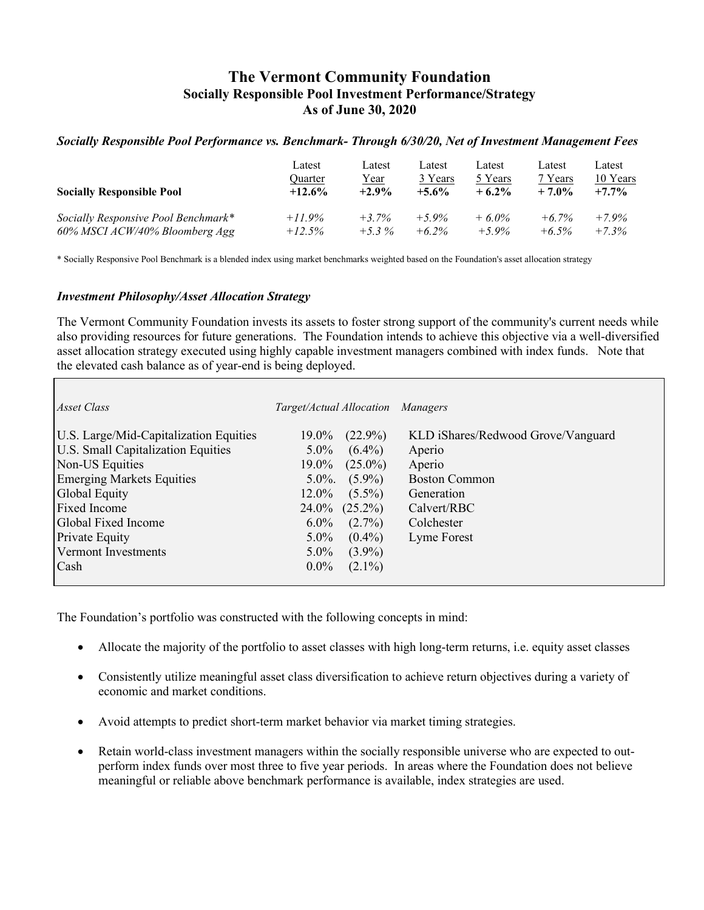# **The Vermont Community Foundation Socially Responsible Pool Investment Performance/Strategy As of June 30, 2020**

### *Socially Responsible Pool Performance vs. Benchmark- Through 6/30/20, Net of Investment Management Fees*

| <b>Socially Responsible Pool</b>    | Latest   | Latest  | Latest   | Latest   | Latest   | Latest   |
|-------------------------------------|----------|---------|----------|----------|----------|----------|
|                                     | Quarter  | Year    | 3 Years  | 5 Years  | 7 Years  | 10 Years |
|                                     | $+12.6%$ | $+2.9%$ | $+5.6\%$ | $+6.2\%$ | $+7.0%$  | $+7.7%$  |
| Socially Responsive Pool Benchmark* | $+11.9%$ | $+3.7%$ | $+5.9\%$ | $+6.0\%$ | $+6.7\%$ | $+7.9%$  |
| 60% MSCI ACW/40% Bloomberg Agg      | $+12.5%$ | $+5.3%$ | $+6.2\%$ | $+5.9\%$ | $+6.5\%$ | $+7.3%$  |

\* Socially Responsive Pool Benchmark is a blended index using market benchmarks weighted based on the Foundation's asset allocation strategy

#### *Investment Philosophy/Asset Allocation Strategy*

The Vermont Community Foundation invests its assets to foster strong support of the community's current needs while also providing resources for future generations. The Foundation intends to achieve this objective via a well-diversified asset allocation strategy executed using highly capable investment managers combined with index funds. Note that the elevated cash balance as of year-end is being deployed.

| Asset Class                            | Target/Actual Allocation Managers |            |                                    |
|----------------------------------------|-----------------------------------|------------|------------------------------------|
| U.S. Large/Mid-Capitalization Equities | 19.0%                             | $(22.9\%)$ | KLD iShares/Redwood Grove/Vanguard |
| U.S. Small Capitalization Equities     | $5.0\%$                           | $(6.4\%)$  | Aperio                             |
| Non-US Equities                        | 19.0%                             | $(25.0\%)$ | Aperio                             |
| <b>Emerging Markets Equities</b>       | $5.0\%$ .                         | $(5.9\%)$  | <b>Boston Common</b>               |
| Global Equity                          | 12.0%                             | $(5.5\%)$  | Generation                         |
| <b>Fixed Income</b>                    | 24.0%                             | $(25.2\%)$ | Calvert/RBC                        |
| Global Fixed Income                    | $6.0\%$                           | $(2.7\%)$  | Colchester                         |
| <b>Private Equity</b>                  | $5.0\%$                           | $(0.4\%)$  | Lyme Forest                        |
| Vermont Investments                    | $5.0\%$                           | $(3.9\%)$  |                                    |
| Cash                                   | $0.0\%$                           | $(2.1\%)$  |                                    |
|                                        |                                   |            |                                    |

The Foundation's portfolio was constructed with the following concepts in mind:

- Allocate the majority of the portfolio to asset classes with high long-term returns, i.e. equity asset classes
- Consistently utilize meaningful asset class diversification to achieve return objectives during a variety of economic and market conditions.
- Avoid attempts to predict short-term market behavior via market timing strategies.
- Retain world-class investment managers within the socially responsible universe who are expected to outperform index funds over most three to five year periods. In areas where the Foundation does not believe meaningful or reliable above benchmark performance is available, index strategies are used.